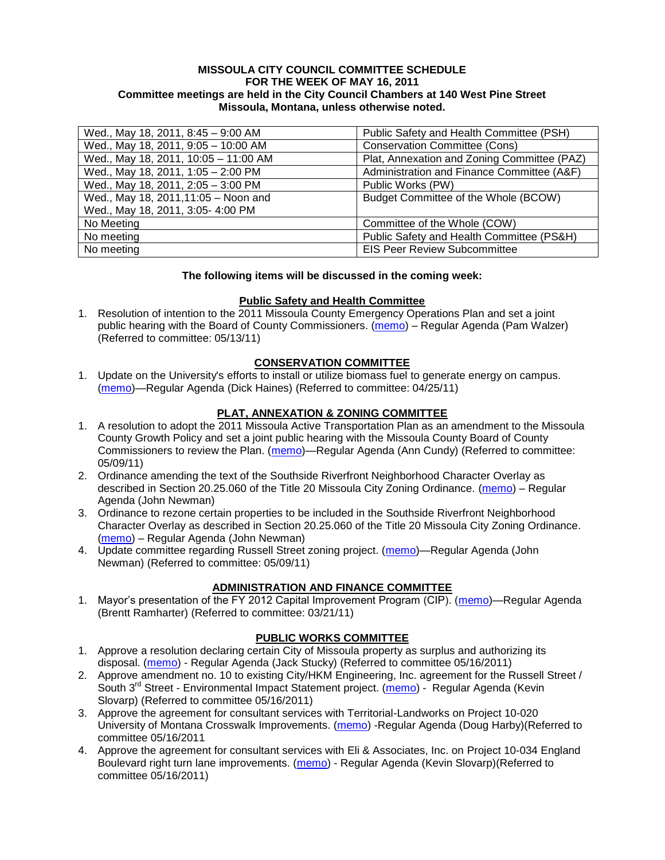#### **MISSOULA CITY COUNCIL COMMITTEE SCHEDULE FOR THE WEEK OF MAY 16, 2011 Committee meetings are held in the City Council Chambers at 140 West Pine Street Missoula, Montana, unless otherwise noted.**

| Wed., May 18, 2011, 8:45 - 9:00 AM   | Public Safety and Health Committee (PSH)    |
|--------------------------------------|---------------------------------------------|
| Wed., May 18, 2011, 9:05 - 10:00 AM  | <b>Conservation Committee (Cons)</b>        |
| Wed., May 18, 2011, 10:05 - 11:00 AM | Plat, Annexation and Zoning Committee (PAZ) |
| Wed., May 18, 2011, 1:05 - 2:00 PM   | Administration and Finance Committee (A&F)  |
| Wed., May 18, 2011, 2:05 - 3:00 PM   | Public Works (PW)                           |
| Wed., May 18, 2011, 11:05 - Noon and | Budget Committee of the Whole (BCOW)        |
| Wed., May 18, 2011, 3:05- 4:00 PM    |                                             |
| No Meeting                           | Committee of the Whole (COW)                |
| No meeting                           | Public Safety and Health Committee (PS&H)   |
| No meeting                           | <b>EIS Peer Review Subcommittee</b>         |

#### **The following items will be discussed in the coming week:**

#### **Public Safety and Health Committee**

1. Resolution of intention to the 2011 Missoula County Emergency Operations Plan and set a joint public hearing with the Board of County Commissioners. [\(memo\)](http://www.ci.missoula.mt.us/DocumentView.aspx?DID=6416) – Regular Agenda (Pam Walzer) (Referred to committee: 05/13/11)

## **CONSERVATION COMMITTEE**

1. Update on the University's efforts to install or utilize biomass fuel to generate energy on campus. [\(memo\)](http://www.ci.missoula.mt.us/DocumentView.aspx?DID=6268)—Regular Agenda (Dick Haines) (Referred to committee: 04/25/11)

#### **PLAT, ANNEXATION & ZONING COMMITTEE**

- 1. A resolution to adopt the 2011 Missoula Active Transportation Plan as an amendment to the Missoula County Growth Policy and set a joint public hearing with the Missoula County Board of County Commissioners to review the Plan. [\(memo\)](http://www.ci.missoula.mt.us/DocumentView.aspx?DID=6367)—Regular Agenda (Ann Cundy) (Referred to committee: 05/09/11)
- 2. Ordinance amending the text of the Southside Riverfront Neighborhood Character Overlay as described in Section 20.25.060 of the Title 20 Missoula City Zoning Ordinance. [\(memo\)](http://www.ci.missoula.mt.us/DocumentView.aspx?DID=6422) – Regular Agenda (John Newman)
- 3. Ordinance to rezone certain properties to be included in the Southside Riverfront Neighborhood Character Overlay as described in Section 20.25.060 of the Title 20 Missoula City Zoning Ordinance. [\(memo\)](http://www.ci.missoula.mt.us/DocumentView.aspx?DID=6422) – Regular Agenda (John Newman)
- 4. Update committee regarding Russell Street zoning project. [\(memo\)](http://www.ci.missoula.mt.us/DocumentView.aspx?DID=6363)—Regular Agenda (John Newman) (Referred to committee: 05/09/11)

## **ADMINISTRATION AND FINANCE COMMITTEE**

1. Mayor's presentation of the FY 2012 Capital Improvement Program (CIP). [\(memo\)](http://www.ci.missoula.mt.us/DocumentView.aspx?DID=5789)—Regular Agenda (Brentt Ramharter) (Referred to committee: 03/21/11)

#### **PUBLIC WORKS COMMITTEE**

- 1. Approve a resolution declaring certain City of Missoula property as surplus and authorizing its disposal. [\(memo\)](http://www.ci.missoula.mt.us/DocumentView.aspx?DID=6384) - Regular Agenda (Jack Stucky) (Referred to committee 05/16/2011)
- 2. Approve amendment no. 10 to existing City/HKM Engineering, Inc. agreement for the Russell Street / South 3<sup>rd</sup> Street - Environmental Impact Statement project. [\(memo\)](http://www.ci.missoula.mt.us/DocumentView.aspx?DID=6420) - Regular Agenda (Kevin Slovarp) (Referred to committee 05/16/2011)
- 3. Approve the agreement for consultant services with Territorial-Landworks on Project 10-020 University of Montana Crosswalk Improvements. [\(memo\)](http://www.ci.missoula.mt.us/DocumentView.aspx?DID=6418) -Regular Agenda (Doug Harby)(Referred to committee 05/16/2011
- 4. Approve the agreement for consultant services with Eli & Associates, Inc. on Project 10-034 England Boulevard right turn lane improvements. [\(memo\)](http://www.ci.missoula.mt.us/DocumentView.aspx?DID=6419) - Regular Agenda (Kevin Slovarp) (Referred to committee 05/16/2011)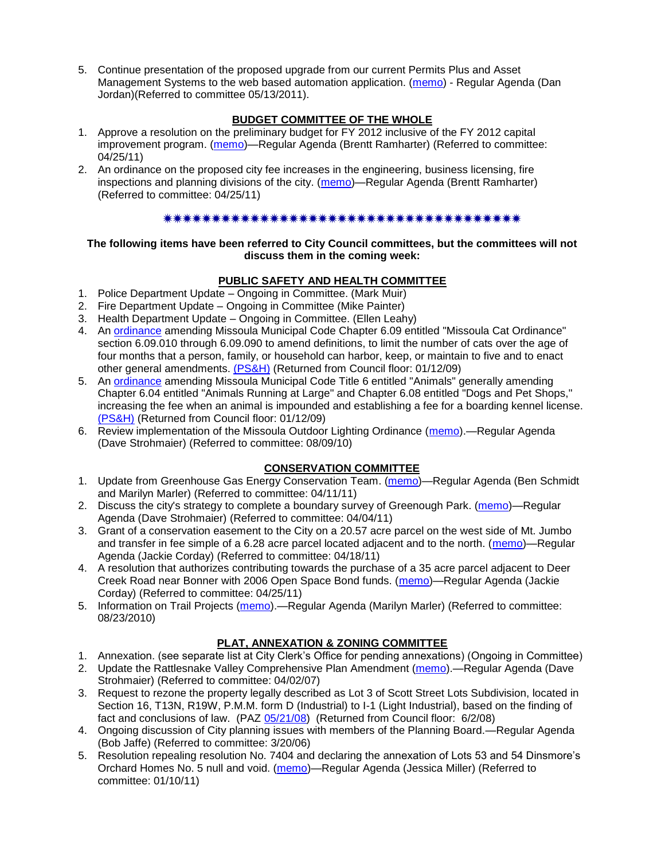5. Continue presentation of the proposed upgrade from our current Permits Plus and Asset Management Systems to the web based automation application. [\(memo\)](http://www.ci.missoula.mt.us/DocumentView.aspx?DID=6417) - Regular Agenda (Dan Jordan)(Referred to committee 05/13/2011).

# **BUDGET COMMITTEE OF THE WHOLE**

- 1. Approve a resolution on the preliminary budget for FY 2012 inclusive of the FY 2012 capital improvement program. [\(memo\)](http://www.ci.missoula.mt.us/DocumentView.aspx?DID=6255)—Regular Agenda (Brentt Ramharter) (Referred to committee: 04/25/11)
- 2. An ordinance on the proposed city fee increases in the engineering, business licensing, fire inspections and planning divisions of the city. [\(memo\)](http://www.ci.missoula.mt.us/DocumentView.aspx?DID=6262)—Regular Agenda (Brentt Ramharter) (Referred to committee: 04/25/11)

# 

### **The following items have been referred to City Council committees, but the committees will not discuss them in the coming week:**

# **PUBLIC SAFETY AND HEALTH COMMITTEE**

- 1. Police Department Update Ongoing in Committee. (Mark Muir)
- 2. Fire Department Update Ongoing in Committee (Mike Painter)
- 3. Health Department Update Ongoing in Committee. (Ellen Leahy)
- 4. An [ordinance](ftp://ftp.ci.missoula.mt.us/Packets/Council/2008/2008-12-15/2008CatOrdinanceAmendment%5B1%5D.pdf) amending Missoula Municipal Code Chapter 6.09 entitled "Missoula Cat Ordinance" section 6.09.010 through 6.09.090 to amend definitions, to limit the number of cats over the age of four months that a person, family, or household can harbor, keep, or maintain to five and to enact other general amendments. [\(PS&H\)](ftp://ftp.ci.missoula.mt.us/Packets/Council/2008/2008-12-15/081210psh.pdf) (Returned from Council floor: 01/12/09)
- 5. An [ordinance](ftp://ftp.ci.missoula.mt.us/Packets/Council/2008/2008-12-15/DogOrdinance--PSHrevisions.pdf) amending Missoula Municipal Code Title 6 entitled "Animals" generally amending Chapter 6.04 entitled "Animals Running at Large" and Chapter 6.08 entitled "Dogs and Pet Shops," increasing the fee when an animal is impounded and establishing a fee for a boarding kennel license. [\(PS&H\)](ftp://ftp.ci.missoula.mt.us/Packets/Council/2008/2008-12-15/081210psh.pdf) (Returned from Council floor: 01/12/09)
- 6. Review implementation of the Missoula Outdoor Lighting Ordinance [\(memo\)](http://www.ci.missoula.mt.us/DocumentView.aspx?DID=4420).—Regular Agenda (Dave Strohmaier) (Referred to committee: 08/09/10)

# **CONSERVATION COMMITTEE**

- 1. Update from Greenhouse Gas Energy Conservation Team. [\(memo\)](http://www.ci.missoula.mt.us/DocumentView.aspx?DID=5945)—Regular Agenda (Ben Schmidt and Marilyn Marler) (Referred to committee: 04/11/11)
- 2. Discuss the city's strategy to complete a boundary survey of Greenough Park. [\(memo\)](http://www.ci.missoula.mt.us/DocumentView.aspx?DID=5875)—Regular Agenda (Dave Strohmaier) (Referred to committee: 04/04/11)
- 3. Grant of a conservation easement to the City on a 20.57 acre parcel on the west side of Mt. Jumbo and transfer in fee simple of a 6.28 acre parcel located adjacent and to the north. [\(memo\)](http://www.ci.missoula.mt.us/DocumentView.aspx?DID=6170)—Regular Agenda (Jackie Corday) (Referred to committee: 04/18/11)
- 4. A resolution that authorizes contributing towards the purchase of a 35 acre parcel adjacent to Deer Creek Road near Bonner with 2006 Open Space Bond funds. [\(memo\)](http://www.ci.missoula.mt.us/DocumentView.aspx?DID=6254)—Regular Agenda (Jackie Corday) (Referred to committee: 04/25/11)
- 5. Information on Trail Projects [\(memo\)](http://www.ci.missoula.mt.us/DocumentView.aspx?DID=4477).—Regular Agenda (Marilyn Marler) (Referred to committee: 08/23/2010)

## **PLAT, ANNEXATION & ZONING COMMITTEE**

- 1. Annexation. (see separate list at City Clerk's Office for pending annexations) (Ongoing in Committee)
- 2. Update the Rattlesnake Valley Comprehensive Plan Amendment [\(memo\)](ftp://ftp.ci.missoula.mt.us/Packets/Council/2007/2007-04-02/Referrals/Rattlesnake_Plan_Update_referral.pdf).—Regular Agenda (Dave Strohmaier) (Referred to committee: 04/02/07)
- 3. Request to rezone the property legally described as Lot 3 of Scott Street Lots Subdivision, located in Section 16, T13N, R19W, P.M.M. form D (Industrial) to I-1 (Light Industrial), based on the finding of fact and conclusions of law. (PAZ [05/21/08\)](ftp://ftp.ci.missoula.mt.us/Packets/Council/2008/2008-06-02/080521paz.pdf) (Returned from Council floor: 6/2/08)
- 4. Ongoing discussion of City planning issues with members of the Planning Board.—Regular Agenda (Bob Jaffe) (Referred to committee: 3/20/06)
- 5. Resolution repealing resolution No. 7404 and declaring the annexation of Lots 53 and 54 Dinsmore's Orchard Homes No. 5 null and void. [\(memo\)](http://www.ci.missoula.mt.us/DocumentView.aspx?DID=5349)—Regular Agenda (Jessica Miller) (Referred to committee: 01/10/11)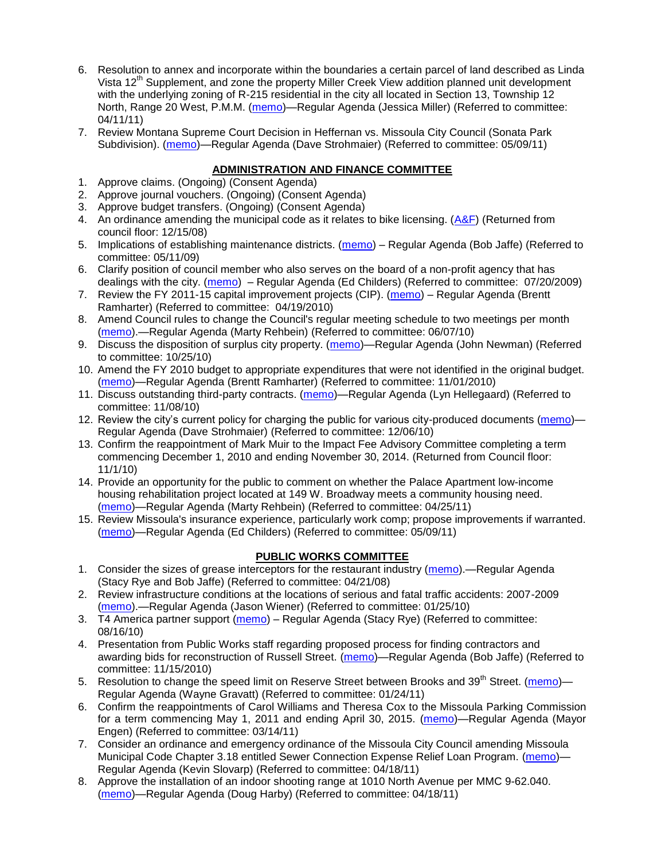- 6. Resolution to annex and incorporate within the boundaries a certain parcel of land described as Linda Vista 12<sup>th</sup> Supplement, and zone the property Miller Creek View addition planned unit development with the underlying zoning of R-215 residential in the city all located in Section 13, Township 12 North, Range 20 West, P.M.M. [\(memo\)](http://www.ci.missoula.mt.us/DocumentView.aspx?DID=5992)—Regular Agenda (Jessica Miller) (Referred to committee: 04/11/11)
- 7. Review Montana Supreme Court Decision in Heffernan vs. Missoula City Council (Sonata Park Subdivision). [\(memo\)](http://www.ci.missoula.mt.us/DocumentView.aspx?DID=6352)—Regular Agenda (Dave Strohmaier) (Referred to committee: 05/09/11)

# **ADMINISTRATION AND FINANCE COMMITTEE**

- 1. Approve claims. (Ongoing) (Consent Agenda)
- 2. Approve journal vouchers. (Ongoing) (Consent Agenda)
- 3. Approve budget transfers. (Ongoing) (Consent Agenda)
- 4. An ordinance amending the municipal code as it relates to bike licensing.  $(A&F)$  (Returned from council floor: 12/15/08)
- 5. Implications of establishing maintenance districts. [\(memo\)](ftp://ftp.ci.missoula.mt.us/Packets/Council/2009/2009-05-11/Referrals/MaintenanceDistricts.pdf) Regular Agenda (Bob Jaffe) (Referred to committee: 05/11/09)
- 6. Clarify position of council member who also serves on the board of a non-profit agency that has dealings with the city. [\(memo\)](http://www.ci.missoula.mt.us/DocumentView.aspx?DID=1840) – Regular Agenda (Ed Childers) (Referred to committee: 07/20/2009)
- 7. Review the FY 2011-15 capital improvement projects (CIP). [\(memo\)](http://www.ci.missoula.mt.us/DocumentView.aspx?DID=3522) Regular Agenda (Brentt Ramharter) (Referred to committee: 04/19/2010)
- 8. Amend Council rules to change the Council's regular meeting schedule to two meetings per month [\(memo\)](http://www.ci.missoula.mt.us/DocumentView.aspx?DID=4027).—Regular Agenda (Marty Rehbein) (Referred to committee: 06/07/10)
- 9. Discuss the disposition of surplus city property. [\(memo\)](http://www.ci.missoula.mt.us/DocumentView.aspx?DID=4862)—Regular Agenda (John Newman) (Referred to committee: 10/25/10)
- 10. Amend the FY 2010 budget to appropriate expenditures that were not identified in the original budget. [\(memo\)](http://www.ci.missoula.mt.us/DocumentView.aspx?DID=4883)—Regular Agenda (Brentt Ramharter) (Referred to committee: 11/01/2010)
- 11. Discuss outstanding third-party contracts. [\(memo\)](http://www.ci.missoula.mt.us/DocumentView.aspx?DID=4956)—Regular Agenda (Lyn Hellegaard) (Referred to committee: 11/08/10)
- 12. Review the city's current policy for charging the public for various city-produced documents [\(memo\)](http://www.ci.missoula.mt.us/DocumentView.aspx?DID=5143) Regular Agenda (Dave Strohmaier) (Referred to committee: 12/06/10)
- 13. Confirm the reappointment of Mark Muir to the Impact Fee Advisory Committee completing a term commencing December 1, 2010 and ending November 30, 2014. (Returned from Council floor: 11/1/10)
- 14. Provide an opportunity for the public to comment on whether the Palace Apartment low-income housing rehabilitation project located at 149 W. Broadway meets a community housing need. [\(memo\)](http://www.ci.missoula.mt.us/DocumentView.aspx?DID=6257)—Regular Agenda (Marty Rehbein) (Referred to committee: 04/25/11)
- 15. Review Missoula's insurance experience, particularly work comp; propose improvements if warranted. [\(memo\)](http://www.ci.missoula.mt.us/DocumentView.aspx?DID=6381)—Regular Agenda (Ed Childers) (Referred to committee: 05/09/11)

#### **PUBLIC WORKS COMMITTEE**

- 1. Consider the sizes of grease interceptors for the restaurant industry [\(memo\)](ftp://ftp.ci.missoula.mt.us/Packets/Council/2008/2008-04-21/Referrals/Industrial_waste_restaurants.pdf).—Regular Agenda (Stacy Rye and Bob Jaffe) (Referred to committee: 04/21/08)
- 2. Review infrastructure conditions at the locations of serious and fatal traffic accidents: 2007-2009 [\(memo\)](http://www.ci.missoula.mt.us/DocumentView.aspx?DID=3031).—Regular Agenda (Jason Wiener) (Referred to committee: 01/25/10)
- 3. T4 America partner support [\(memo\)](http://www.ci.missoula.mt.us/DocumentView.aspx?DID=4452) Regular Agenda (Stacy Rye) (Referred to committee: 08/16/10)
- 4. Presentation from Public Works staff regarding proposed process for finding contractors and awarding bids for reconstruction of Russell Street. [\(memo\)](http://www.ci.missoula.mt.us/DocumentView.aspx?DID=5042)—Regular Agenda (Bob Jaffe) (Referred to committee: 11/15/2010)
- 5. Resolution to change the speed limit on Reserve Street between Brooks and 39<sup>th</sup> Street. [\(memo\)](http://www.ci.missoula.mt.us/DocumentView.aspx?DID=5418) Regular Agenda (Wayne Gravatt) (Referred to committee: 01/24/11)
- 6. Confirm the reappointments of Carol Williams and Theresa Cox to the Missoula Parking Commission for a term commencing May 1, 2011 and ending April 30, 2015. [\(memo\)](http://www.ci.missoula.mt.us/DocumentView.aspx?DID=5727)—Regular Agenda (Mayor Engen) (Referred to committee: 03/14/11)
- 7. Consider an ordinance and emergency ordinance of the Missoula City Council amending Missoula Municipal Code Chapter 3.18 entitled Sewer Connection Expense Relief Loan Program. [\(memo\)](http://www.ci.missoula.mt.us/DocumentView.aspx?DID=6161)-Regular Agenda (Kevin Slovarp) (Referred to committee: 04/18/11)
- 8. Approve the installation of an indoor shooting range at 1010 North Avenue per MMC 9-62.040. [\(memo\)](http://www.ci.missoula.mt.us/DocumentView.aspx?DID=6173)—Regular Agenda (Doug Harby) (Referred to committee: 04/18/11)